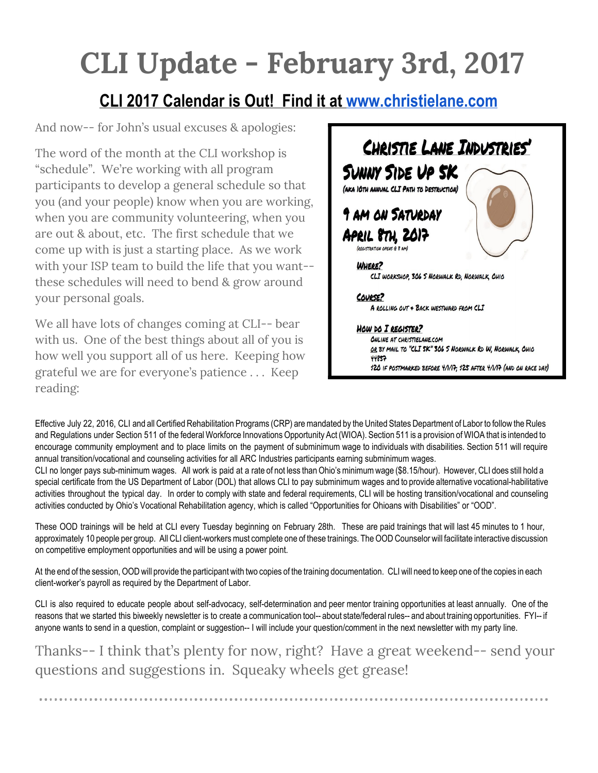## **CLI Update - February 3rd, 2017**

## **CLI 2017 Calendar is Out! Find it at [www.christielane.com](http://www.christielane.com/)**

And now-- for John's usual excuses & apologies:

The word of the month at the CLI workshop is "schedule". We're working with all program participants to develop a general schedule so that you (and your people) know when you are working, when you are community volunteering, when you are out & about, etc. The first schedule that we come up with is just a starting place. As we work with your ISP team to build the life that you want- these schedules will need to bend & grow around your personal goals.

We all have lots of changes coming at CLI-- bear with us. One of the best things about all of you is how well you support all of us here. Keeping how grateful we are for everyone's patience . . . Keep reading:



Effective July 22, 2016, CLI and all Certified Rehabilitation Programs (CRP) are mandated by the United States Department of Labor to follow the Rules and Regulations under Section 511 of the federal Workforce Innovations Opportunity Act (WIOA). Section 511 is a provision of WIOA that is intended to encourage community employment and to place limits on the payment of subminimum wage to individuals with disabilities. Section 511 will require annual transition/vocational and counseling activities for all ARC Industries participants earning subminimum wages.

CLI no longer pays sub-minimum wages. All work is paid at a rate of not less thanOhio'sminimumwage (\$8.15/hour). However, CLI does still hold a special certificate from the US Department of Labor (DOL) that allows CLI to pay subminimum wages and to provide alternative vocational-habilitative activities throughout the typical day. In order to comply with state and federal requirements, CLI will be hosting transition/vocational and counseling activities conducted by Ohio's Vocational Rehabilitation agency, which is called "Opportunities for Ohioans with Disabilities" or "OOD".

These OOD trainings will be held at CLI every Tuesday beginning on February 28th. These are paid trainings that will last 45 minutes to 1 hour, approximately 10 people per group. All CLI client-workers must complete one of these trainings. The OOD Counselor will facilitate interactive discussion on competitive employment opportunities and will be using a power point.

At the end of the session,OOD will provide the participant with two copies of the training documentation. CLI will need to keep one of the copies in each client-worker's payroll as required by the Department of Labor.

CLI is also required to educate people about self-advocacy, self-determination and peer mentor training opportunities at least annually. One of the reasons that we started this biweekly newsletter is to create a communication tool-- about state/federal rules-- and about training opportunities. FYI-- if anyone wants to send in a question, complaint or suggestion-- I will include your question/comment in the next newsletter with my party line.

Thanks-- I think that's plenty for now, right? Have a great weekend-- send your questions and suggestions in. Squeaky wheels get grease!